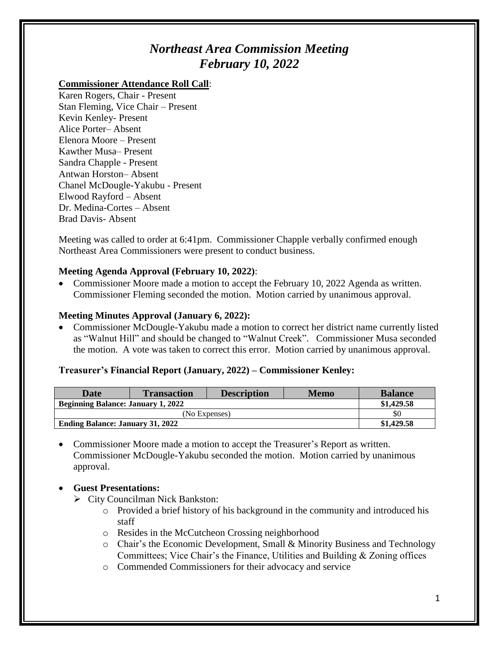# *Northeast Area Commission Meeting February 10, 2022*

## **Commissioner Attendance Roll Call**:

Karen Rogers, Chair - Present Stan Fleming, Vice Chair – Present Kevin Kenley- Present Alice Porter– Absent Elenora Moore – Present Kawther Musa– Present Sandra Chapple - Present Antwan Horston– Absent Chanel McDougle-Yakubu - Present Elwood Rayford – Absent Dr. Medina-Cortes – Absent Brad Davis- Absent

Meeting was called to order at 6:41pm. Commissioner Chapple verbally confirmed enough Northeast Area Commissioners were present to conduct business.

## **Meeting Agenda Approval (February 10, 2022)**:

• Commissioner Moore made a motion to accept the February 10, 2022 Agenda as written. Commissioner Fleming seconded the motion. Motion carried by unanimous approval.

## **Meeting Minutes Approval (January 6, 2022):**

 Commissioner McDougle-Yakubu made a motion to correct her district name currently listed as "Walnut Hill" and should be changed to "Walnut Creek". Commissioner Musa seconded the motion. A vote was taken to correct this error. Motion carried by unanimous approval.

### **Treasurer's Financial Report (January, 2022) – Commissioner Kenley:**

| Date                                      | <b>Transaction</b> | <b>Description</b> | <b>Memo</b> | <b>Balance</b> |
|-------------------------------------------|--------------------|--------------------|-------------|----------------|
| <b>Beginning Balance: January 1, 2022</b> |                    |                    |             | \$1,429.58     |
| (No Expenses)                             |                    |                    |             | \$0            |
| <b>Ending Balance: January 31, 2022</b>   |                    |                    |             | \$1,429.58     |

 Commissioner Moore made a motion to accept the Treasurer's Report as written. Commissioner McDougle-Yakubu seconded the motion. Motion carried by unanimous approval.

### **Guest Presentations:**

- $\triangleright$  City Councilman Nick Bankston:
	- o Provided a brief history of his background in the community and introduced his staff
	- o Resides in the McCutcheon Crossing neighborhood
	- o Chair's the Economic Development, Small & Minority Business and Technology Committees; Vice Chair's the Finance, Utilities and Building & Zoning offices
	- o Commended Commissioners for their advocacy and service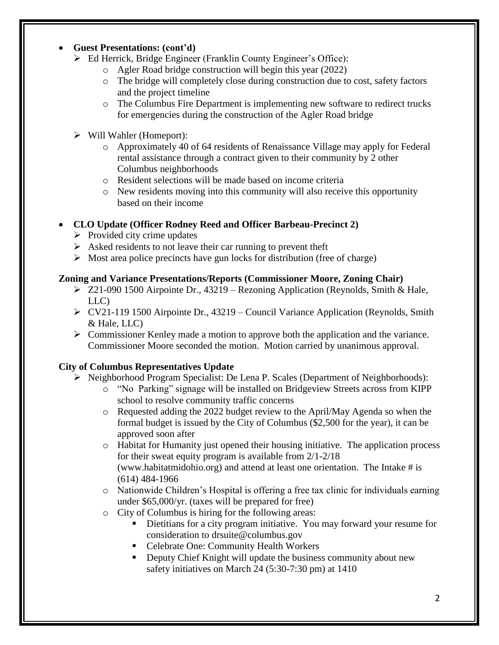## **Guest Presentations: (cont'd)**

- Ed Herrick, Bridge Engineer (Franklin County Engineer's Office):
	- o Agler Road bridge construction will begin this year (2022)
	- o The bridge will completely close during construction due to cost, safety factors and the project timeline
	- o The Columbus Fire Department is implementing new software to redirect trucks for emergencies during the construction of the Agler Road bridge
- $\triangleright$  Will Wahler (Homeport):
	- o Approximately 40 of 64 residents of Renaissance Village may apply for Federal rental assistance through a contract given to their community by 2 other Columbus neighborhoods
	- o Resident selections will be made based on income criteria
	- o New residents moving into this community will also receive this opportunity based on their income

# **CLO Update (Officer Rodney Reed and Officer Barbeau-Precinct 2)**

- $\triangleright$  Provided city crime updates
- $\triangleright$  Asked residents to not leave their car running to prevent theft
- $\triangleright$  Most area police precincts have gun locks for distribution (free of charge)

# **Zoning and Variance Presentations/Reports (Commissioner Moore, Zoning Chair)**

- $\geq$  Z21-090 1500 Airpointe Dr., 43219 Rezoning Application (Reynolds, Smith & Hale, LLC)
- $\triangleright$  CV21-119 1500 Airpointe Dr., 43219 Council Variance Application (Reynolds, Smith & Hale, LLC)
- $\triangleright$  Commissioner Kenley made a motion to approve both the application and the variance. Commissioner Moore seconded the motion. Motion carried by unanimous approval.

# **City of Columbus Representatives Update**

- Neighborhood Program Specialist: De Lena P. Scales (Department of Neighborhoods):
	- o "No Parking" signage will be installed on Bridgeview Streets across from KIPP school to resolve community traffic concerns
	- o Requested adding the 2022 budget review to the April/May Agenda so when the formal budget is issued by the City of Columbus (\$2,500 for the year), it can be approved soon after
	- o Habitat for Humanity just opened their housing initiative. The application process for their sweat equity program is available from 2/1-2/18 (www.habitatmidohio.org) and attend at least one orientation. The Intake # is (614) 484-1966
	- o Nationwide Children's Hospital is offering a free tax clinic for individuals earning under \$65,000/yr. (taxes will be prepared for free)
	- o City of Columbus is hiring for the following areas:
		- Dietitians for a city program initiative. You may forward your resume for consideration to drsuite@columbus.gov
		- Celebrate One: Community Health Workers
		- Deputy Chief Knight will update the business community about new safety initiatives on March 24 (5:30-7:30 pm) at 1410